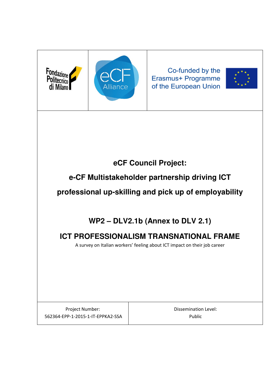



Co-funded by the Erasmus+ Programme of the European Union



# **eCF Council Project:**

# **e-CF Multistakeholder partnership driving ICT**

**professional up-skilling and pick up of employability** 

# **WP2 – DLV2.1b (Annex to DLV 2.1)**

# **ICT PROFESSIONALISM TRANSNATIONAL FRAME**

A survey on Italian workers' feeling about ICT impact on their job career

Project Number: 562364-EPP-1-2015-1-IT-EPPKA2-SSA Dissemination Level: Public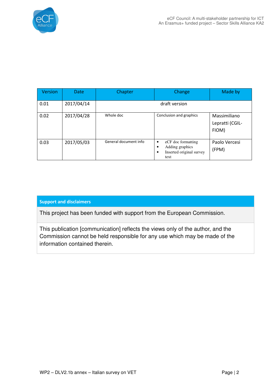

| <b>Version</b> | <b>Date</b> | Chapter               | Change                                                                                   | Made by                                  |
|----------------|-------------|-----------------------|------------------------------------------------------------------------------------------|------------------------------------------|
| 0.01           | 2017/04/14  |                       | draft version                                                                            |                                          |
| 0.02           | 2017/04/28  | Whole doc             | Conclusion and graphics                                                                  | Massimiliano<br>Lepratti (CGIL-<br>FIOM) |
| 0.03           | 2017/05/03  | General document info | eCF doc formatting<br>٠<br>Adding graphics<br>٠<br>Inserted original survey<br>٠<br>text | Paolo Vercesi<br>(FPM)                   |

### Support and disclaimers

This project has been funded with support from the European Commission.

This publication [communication] reflects the views only of the author, and the Commission cannot be held responsible for any use which may be made of the information contained therein.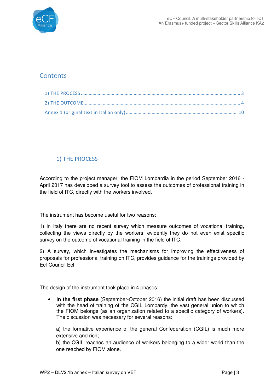

# **Contents**

## 1) THE PROCESS

According to the project manager, the FIOM Lombardia in the period September 2016 - April 2017 has developed a survey tool to assess the outcomes of professional training in the field of ITC, directly with the workers involved.

The instrument has become useful for two reasons:

1) in Italy there are no recent survey which measure outcomes of vocational training, collecting the views directly by the workers; evidently they do not even exist specific survey on the outcome of vocational training in the field of ITC.

2) A survey, which investigates the mechanisms for improving the effectiveness of proposals for professional training on ITC, provides guidance for the trainings provided by Ecf Council Ecf

The design of the instrument took place in 4 phases:

• **In the first phase** (September-October 2016) the initial draft has been discussed with the head of training of the CGIL Lombardy, the vast general union to which the FIOM belongs (as an organization related to a specific category of workers). The discussion was necessary for several reasons:

a) the formative experience of the general Confederation (CGIL) is much more extensive and rich;

b) the CGIL reaches an audience of workers belonging to a wider world than the one reached by FIOM alone.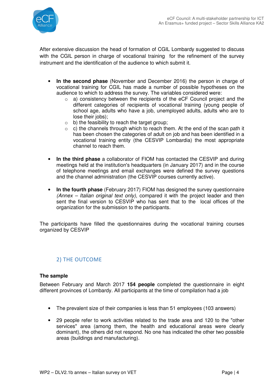

After extensive discussion the head of formation of CGIL Lombardy suggested to discuss with the CGIL person in charge of vocational training for the refinement of the survey instrument and the identification of the audience to which submit it.

- **In the second phase** (November and December 2016) the person in charge of vocational training for CGIL has made a number of possible hypotheses on the audience to which to address the survey. The variables considered were:
	- o a) consistency between the recipients of the eCF Council project and the different categories of recipients of vocational training (young people of school age, adults who have a job, unemployed adults, adults who are to lose their jobs);
	- $\circ$  b) the feasibility to reach the target group;
	- $\circ$  c) the channels through which to reach them. At the end of the scan path it has been chosen the categories of adult on job and has been identified in a vocational training entity (the CESVIP Lombardia) the most appropriate channel to reach them.
- **In the third phase** a collaborator of FIOM has contacted the CESVIP and during meetings held at the institution's headquarters (in January 2017) and in the course of telephone meetings and email exchanges were defined the survey questions and the channel administration (the CESVIP courses currently active).
- **In the fourth phase** (February 2017) FIOM has designed the survey questionnaire (Annex – Italian original text only), compared it with the project leader and then sent the final version to CESVIP who has sent that to the local offices of the organization for the submission to the participants.

The participants have filled the questionnaires during the vocational training courses organized by CESVIP

## 2) THE OUTCOME

### **The sample**

Between February and March 2017 **154 people** completed the questionnaire in eight different provinces of Lombardy. All participants at the time of compilation had a job

- The prevalent size of their companies is less than 51 employees (103 answers)
- 29 people refer to work activities related to the trade area and 120 to the "other services" area (among them, the health and educational areas were clearly dominant), the others did not respond. No one has indicated the other two possible areas (buildings and manufacturing).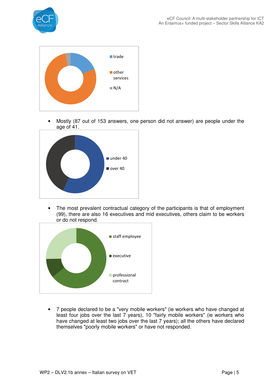



• Mostly (87 out of 153 answers, one person did not answer) are people under the age of 41.



The most prevalent contractual category of the participants is that of employment (99), there are also 16 executives and mid executives, others claim to be workers or do not respond.



• 7 people declared to be a "very mobile workers" (ie workers who have changed at least four jobs over the last 7 years), 10 "fairly mobile workers" (ie workers who have changed at least two jobs over the last 7 years); all the others have declared themselves "poorly mobile workers" or have not responded.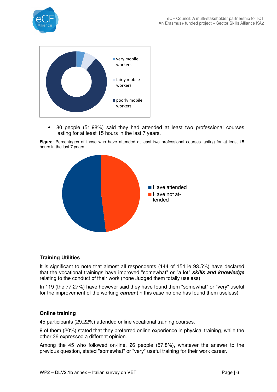



• 80 people (51,98%) said they had attended at least two professional courses lasting for at least 15 hours in the last 7 years.

**Figure**: Percentages of those who have attended at least two professional courses lasting for at least 15 hours in the last 7 years



#### **Training Utilities**

It is significant to note that almost all respondents (144 of 154 ie 93.5%) have declared that the vocational trainings have improved "somewhat" or "a lot" **skills and knowledge**  relating to the conduct of their work (none Judged them totally useless).

In 119 (the 77.27%) have however said they have found them "somewhat" or "very" useful for the improvement of the working **career** (in this case no one has found them useless).

#### **Online training**

45 participants (29.22%) attended online vocational training courses.

9 of them (20%) stated that they preferred online experience in physical training, while the other 36 expressed a different opinion.

Among the 45 who followed on-line, 26 people (57.8%), whatever the answer to the previous question, stated "somewhat" or "very" useful training for their work career.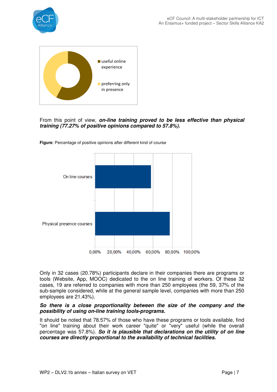



### From this point of view, **on-line training proved to be less effective than physical training (77.27% of positive opinions compared to 57.8%).**

**Figure**: Percentage of positive opinions after different kind of course



Only in 32 cases (20.78%) participants declare in their companies there are programs or tools (Website, App, MOOC) dedicated to the on line training of workers. Of these 32 cases, 19 are referred to companies with more than 250 employees (the 59, 37% of the sub-sample considered, while at the general sample level, companies with more than 250 employees are 21.43%).

#### **So there is a close proportionality between the size of the company and the possibility of using on-line training tools-programs.**

It should be noted that 78.57% of those who have these programs or tools available, find "on line" training about their work career "quite" or "very" useful (while the overall percentage was 57.8%). **So it is plausible that declarations on the utility of on line courses are directly proportional to the availability of technical facilities.**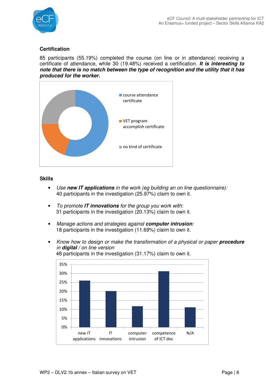

## **Certification**

85 participants (55.19%) completed the course (on line or in attendance) receiving a certificate of attendance, while 30 (19.48%) received a certification. **It is interesting to note that there is no match between the type of recognition and the utility that it has produced for the worker.**



#### **Skills**

- Use **new IT applications** in the work (eg building an on line questionnaire): 40 participants in the investigation (25.97%) claim to own it.
- To promote **IT innovations** for the group you work with: 31 participants in the investigation (20.13%) claim to own it.
- Manage actions and strategies against **computer intrusion**: 18 participants in the investigation (11.69%) claim to own it.
- Know how to design or make the transformation of a physical or paper **procedure** in **digital** / on line version 48 participants in the investigation (31.17%) claim to own it.

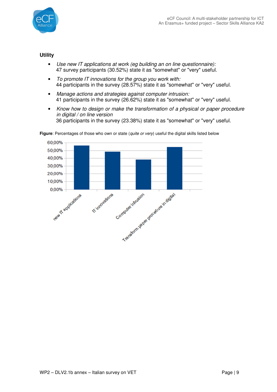

## **Utility**

- Use new IT applications at work (eg building an on line questionnaire): 47 survey participants (30.52%) state it as "somewhat" or "very" useful.
- To promote IT innovations for the group you work with: 44 participants in the survey (28.57%) state it as "somewhat" or "very" useful.
- Manage actions and strategies against computer intrusion: 41 participants in the survey (26.62%) state it as "somewhat" or "very" useful.
- Know how to design or make the transformation of a physical or paper procedure in digital / on line version 36 participants in the survey (23.38%) state it as "somewhat" or "very" useful.



Figure: Percentages of those who own or state (quite or very) useful the digital skills listed below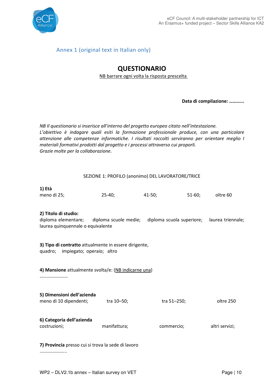

## Annex 1 (original text in Italian only)

# QUESTIONARIO

NB barrare ogni volta la risposta prescelta

Data di compilazione: ………...

NB Il questionario si inserisce all'interno del progetto europeo citato nell'intestazione. L'obiettivo è indagare quali esiti la formazione professionale produce, con una particolare attenzione alle competenze informatiche. I risultati raccolti serviranno per orientare meglio I materiali formativi prodotti dal progetto e i processi attraverso cui proporli. Grazie molte per la collaborazione.

|  | SEZIONE 1: PROFILO (anonimo) DEL LAVORATORE/TRICE |
|--|---------------------------------------------------|
|  |                                                   |

| 1) Età      |          |          |        |          |
|-------------|----------|----------|--------|----------|
| meno di 25; | $25-40;$ | $41-50;$ | 51-60: | oltre 60 |

#### 2) Titolo di studio:

diploma elementare; diploma scuole medie; diploma scuola superiore; laurea triennale; laurea quinquennale o equivalente

3) Tipo di contratto attualmente in essere dirigente, quadro; impiegato; operaio; altro

4) Mansione attualmente svolta/e: (NB indicarne una)

……………………

| 5) Dimensioni dell'azienda                |              |             |                |
|-------------------------------------------|--------------|-------------|----------------|
| meno di 10 dipendenti;                    | tra 10–50;   | tra 51–250; | oltre 250      |
| 6) Categoria dell'azienda<br>costruzioni; | manifattura; | commercio;  | altri servizi; |

7) Provincia presso cui si trova la sede di lavoro

……………………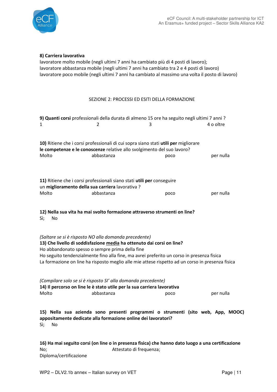

#### 8) Carriera lavorativa

lavoratore molto mobile (negli ultimi 7 anni ha cambiato più di 4 posti di lavoro); lavoratore abbastanza mobile (negli ultimi 7 anni ha cambiato tra 2 e 4 posti di lavoro) lavoratore poco mobile (negli ultimi 7 anni ha cambiato al massimo una volta il posto di lavoro)

#### SEZIONE 2: PROCESSI ED ESITI DELLA FORMAZIONE

| 1                                                         | 2                                                                                                                                                                                 | 9) Quanti corsi professionali della durata di almeno 15 ore ha seguito negli ultimi 7 anni ?<br>3                                                                                             | 4 o oltre |
|-----------------------------------------------------------|-----------------------------------------------------------------------------------------------------------------------------------------------------------------------------------|-----------------------------------------------------------------------------------------------------------------------------------------------------------------------------------------------|-----------|
| Molto                                                     | 10) Ritiene che i corsi professionali di cui sopra siano stati utili per migliorare<br>le competenze e le conoscenze relative allo svolgimento del suo lavoro?<br>abbastanza      | poco                                                                                                                                                                                          | per nulla |
| un miglioramento della sua carriera lavorativa ?<br>Molto | 11) Ritiene che i corsi professionali siano stati utili per conseguire<br>abbastanza                                                                                              | poco                                                                                                                                                                                          | per nulla |
| Sì;<br>No                                                 | 12) Nella sua vita ha mai svolto formazione attraverso strumenti on line?                                                                                                         |                                                                                                                                                                                               |           |
|                                                           | (Saltare se si è risposto NO alla domanda precedente)<br>13) Che livello di soddisfazione media ha ottenuto dai corsi on line?<br>Ho abbandonato spesso o sempre prima della fine | Ho seguito tendenzialmente fino alla fine, ma avrei preferito un corso in presenza fisica<br>La formazione on line ha risposto meglio alle mie attese rispetto ad un corso in presenza fisica |           |
| Molto                                                     | (Compilare solo se si è risposto SI' alla domanda precedente)<br>14) Il percorso on line le è stato utile per la sua carriera lavorativa<br>abbastanza                            | poco                                                                                                                                                                                          | per nulla |
| Sì;<br>No                                                 | appositamente dedicate alla formazione online dei lavoratori?                                                                                                                     | 15) Nella sua azienda sono presenti programmi o strumenti (sito web, App, MOOC)                                                                                                               |           |
|                                                           |                                                                                                                                                                                   |                                                                                                                                                                                               |           |

16) Ha mai seguito corsi (on line o in presenza fisica) che hanno dato luogo a una certificazione No; Attestato di frequenza; Diploma/certificazione